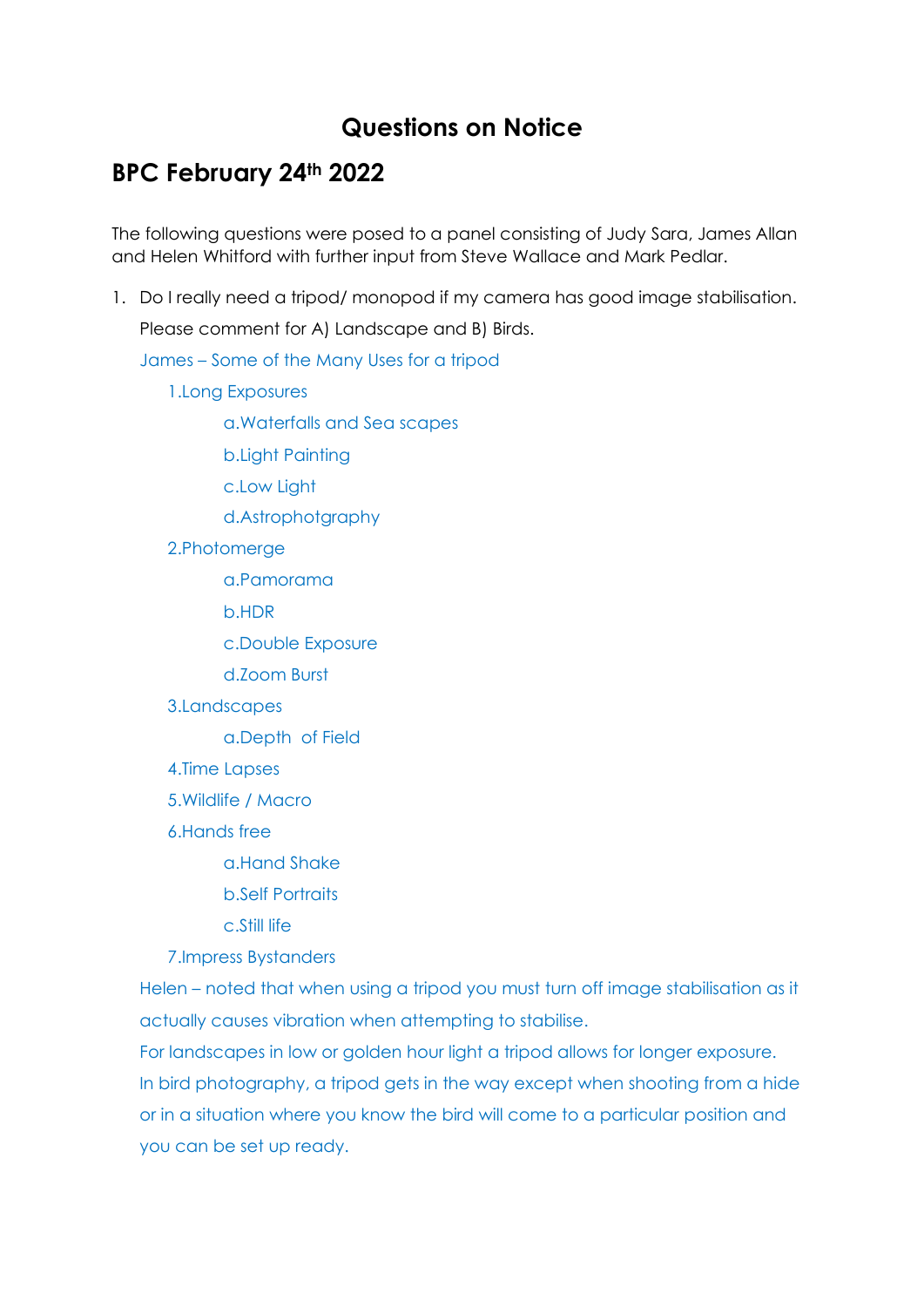## **Questions on Notice**

## **BPC February 24th 2022**

The following questions were posed to a panel consisting of Judy Sara, James Allan and Helen Whitford with further input from Steve Wallace and Mark Pedlar.

1. Do I really need a tripod/ monopod if my camera has good image stabilisation.

Please comment for A) Landscape and B) Birds.

James – Some of the Many Uses for a tripod

1.Long Exposures

a.Waterfalls and Sea scapes

b.Light Painting

c.Low Light

d.Astrophotgraphy

2.Photomerge

a.Pamorama

b.HDR

c.Double Exposure

d.Zoom Burst

3.Landscapes

a.Depth of Field

4.Time Lapses

5.Wildlife / Macro

6.Hands free

a.Hand Shake

b.Self Portraits

c.Still life

7.Impress Bystanders

Helen – noted that when using a tripod you must turn off image stabilisation as it actually causes vibration when attempting to stabilise.

For landscapes in low or golden hour light a tripod allows for longer exposure. In bird photography, a tripod gets in the way except when shooting from a hide or in a situation where you know the bird will come to a particular position and you can be set up ready.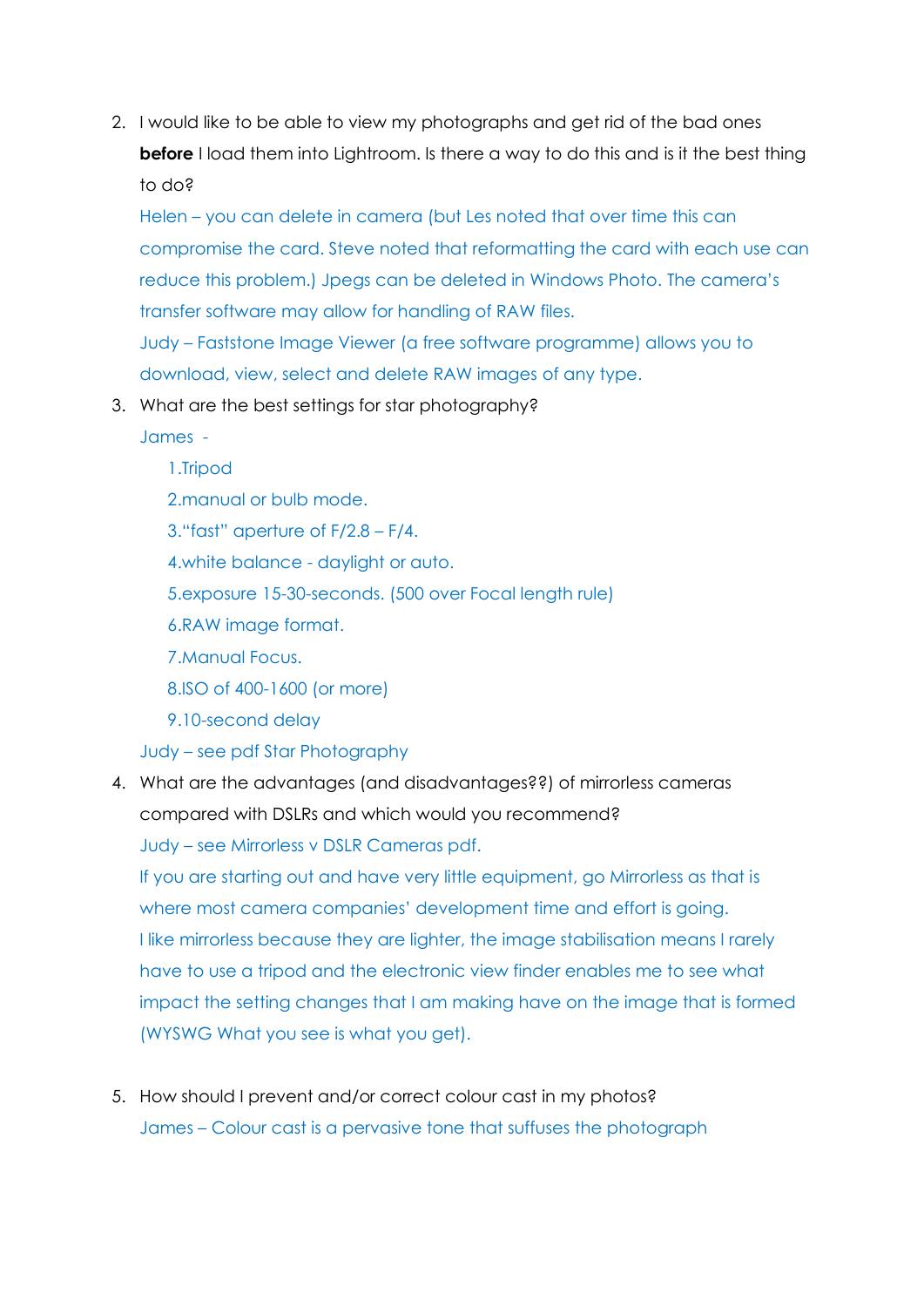2. I would like to be able to view my photographs and get rid of the bad ones **before** I load them into Lightroom. Is there a way to do this and is it the best thing to do?

Helen – you can delete in camera (but Les noted that over time this can compromise the card. Steve noted that reformatting the card with each use can reduce this problem.) Jpegs can be deleted in Windows Photo. The camera's transfer software may allow for handling of RAW files. Judy – Faststone Image Viewer (a free software programme) allows you to download, view, select and delete RAW images of any type.

3. What are the best settings for star photography?

James -

1.Tripod 2.manual or bulb mode. 3."fast" aperture of F/2.8 – F/4. 4.white balance - daylight or auto. 5.exposure 15-30-seconds. (500 over Focal length rule) 6.RAW image format. 7.Manual Focus. 8.ISO of 400-1600 (or more) 9.10-second delay

Judy – see pdf Star Photography

4. What are the advantages (and disadvantages??) of mirrorless cameras compared with DSLRs and which would you recommend? Judy – see Mirrorless v DSLR Cameras pdf.

If you are starting out and have very little equipment, go Mirrorless as that is where most camera companies' development time and effort is going. I like mirrorless because they are lighter, the image stabilisation means I rarely have to use a tripod and the electronic view finder enables me to see what impact the setting changes that I am making have on the image that is formed (WYSWG What you see is what you get).

5. How should I prevent and/or correct colour cast in my photos? James – Colour cast is a pervasive tone that suffuses the photograph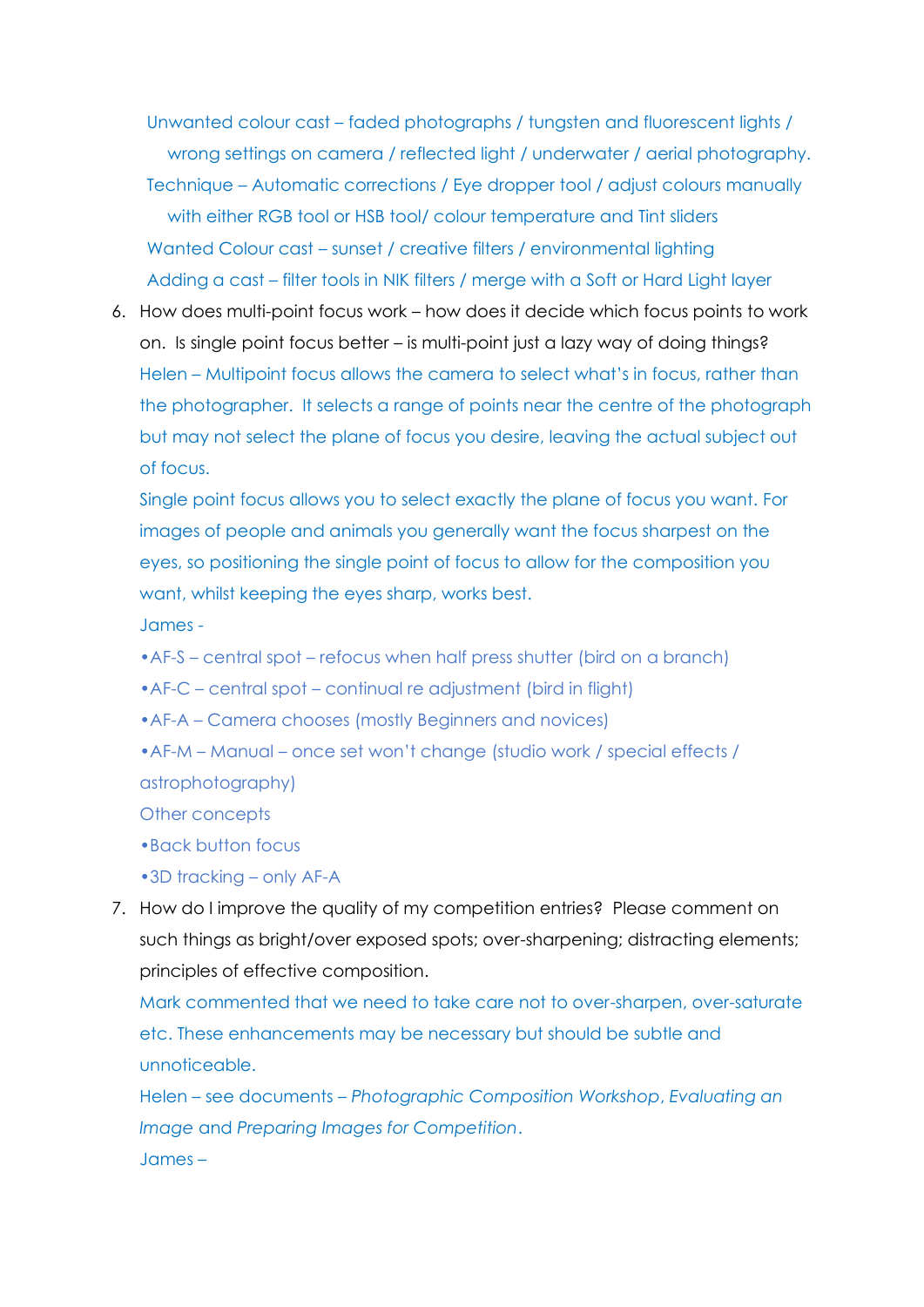Unwanted colour cast – faded photographs / tungsten and fluorescent lights / wrong settings on camera / reflected light / underwater / aerial photography. Technique – Automatic corrections / Eye dropper tool / adjust colours manually with either RGB tool or HSB tool/ colour temperature and Tint sliders Wanted Colour cast – sunset / creative filters / environmental lighting Adding a cast – filter tools in NIK filters / merge with a Soft or Hard Light layer

6. How does multi-point focus work – how does it decide which focus points to work on. Is single point focus better – is multi-point just a lazy way of doing things? Helen – Multipoint focus allows the camera to select what's in focus, rather than the photographer. It selects a range of points near the centre of the photograph but may not select the plane of focus you desire, leaving the actual subject out of focus.

Single point focus allows you to select exactly the plane of focus you want. For images of people and animals you generally want the focus sharpest on the eyes, so positioning the single point of focus to allow for the composition you want, whilst keeping the eyes sharp, works best.

James -

•AF-S – central spot – refocus when half press shutter (bird on a branch)

•AF-C – central spot – continual re adjustment (bird in flight)

•AF-A – Camera chooses (mostly Beginners and novices)

•AF-M – Manual – once set won't change (studio work / special effects / astrophotography)

Other concepts

•Back button focus

•3D tracking – only AF-A

7. How do I improve the quality of my competition entries? Please comment on such things as bright/over exposed spots; over-sharpening; distracting elements; principles of effective composition.

Mark commented that we need to take care not to over-sharpen, over-saturate etc. These enhancements may be necessary but should be subtle and unnoticeable.

Helen – see documents – *Photographic Composition Workshop*, *Evaluating an Image* and *Preparing Images for Competition*. James –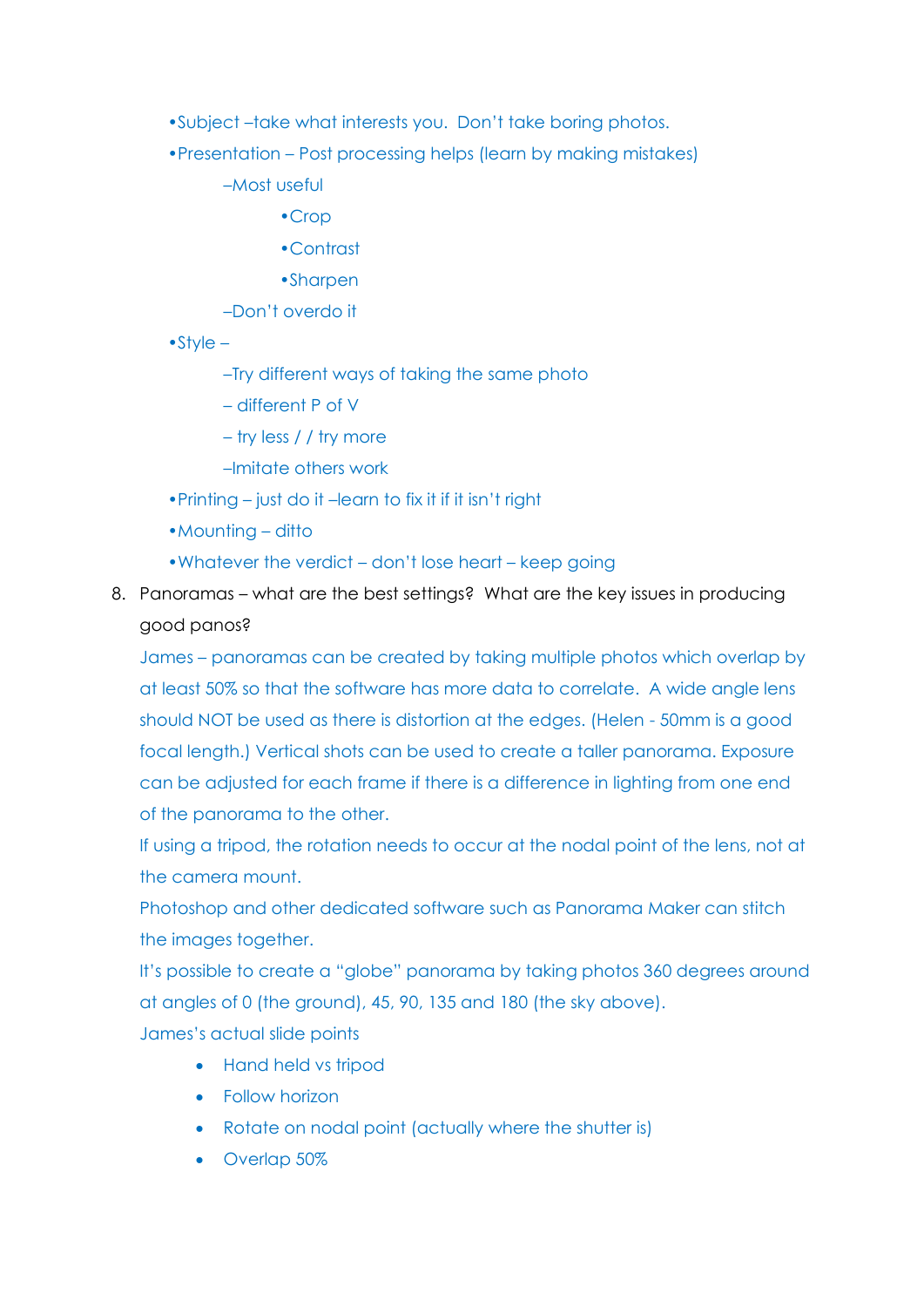- •Subject –take what interests you. Don't take boring photos.
- •Presentation Post processing helps (learn by making mistakes)
	- –Most useful
		- •Crop
		- •Contrast
		- •Sharpen
	- –Don't overdo it
- •Style
	- –Try different ways of taking the same photo
	- different P of V
	- try less / / try more
	- –Imitate others work
- •Printing just do it –learn to fix it if it isn't right
- Mounting ditto
- •Whatever the verdict don't lose heart keep going
- 8. Panoramas what are the best settings? What are the key issues in producing good panos?

James – panoramas can be created by taking multiple photos which overlap by at least 50% so that the software has more data to correlate. A wide angle lens should NOT be used as there is distortion at the edges. (Helen - 50mm is a good focal length.) Vertical shots can be used to create a taller panorama. Exposure can be adjusted for each frame if there is a difference in lighting from one end of the panorama to the other.

If using a tripod, the rotation needs to occur at the nodal point of the lens, not at the camera mount.

Photoshop and other dedicated software such as Panorama Maker can stitch the images together.

It's possible to create a "globe" panorama by taking photos 360 degrees around at angles of 0 (the ground), 45, 90, 135 and 180 (the sky above). James's actual slide points

- Hand held vs tripod
- Follow horizon
- Rotate on nodal point (actually where the shutter is)
- Overlap 50%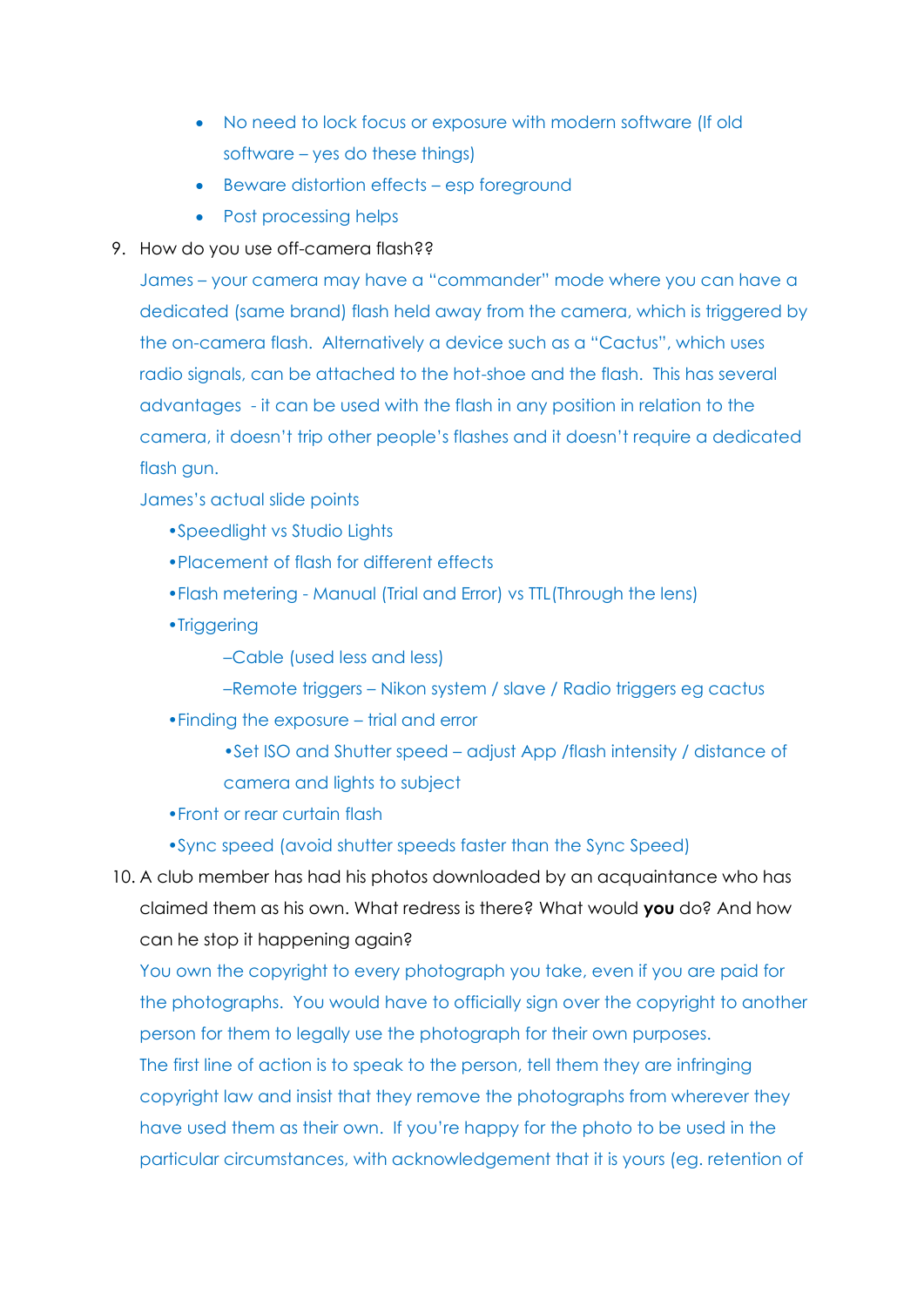- No need to lock focus or exposure with modern software (If old software – yes do these things)
- Beware distortion effects esp foreground
- Post processing helps
- 9. How do you use off-camera flash??

James – your camera may have a "commander" mode where you can have a dedicated (same brand) flash held away from the camera, which is triggered by the on-camera flash. Alternatively a device such as a "Cactus", which uses radio signals, can be attached to the hot-shoe and the flash. This has several advantages - it can be used with the flash in any position in relation to the camera, it doesn't trip other people's flashes and it doesn't require a dedicated flash gun.

James's actual slide points

- •Speedlight vs Studio Lights
- •Placement of flash for different effects
- •Flash metering Manual (Trial and Error) vs TTL(Through the lens)
- •Triggering
	- –Cable (used less and less)
	- –Remote triggers Nikon system / slave / Radio triggers eg cactus
- •Finding the exposure trial and error
	- •Set ISO and Shutter speed adjust App /flash intensity / distance of camera and lights to subject
- •Front or rear curtain flash
- •Sync speed (avoid shutter speeds faster than the Sync Speed)
- 10. A club member has had his photos downloaded by an acquaintance who has claimed them as his own. What redress is there? What would **you** do? And how can he stop it happening again?

You own the copyright to every photograph you take, even if you are paid for the photographs. You would have to officially sign over the copyright to another person for them to legally use the photograph for their own purposes.

The first line of action is to speak to the person, tell them they are infringing copyright law and insist that they remove the photographs from wherever they have used them as their own. If you're happy for the photo to be used in the particular circumstances, with acknowledgement that it is yours (eg. retention of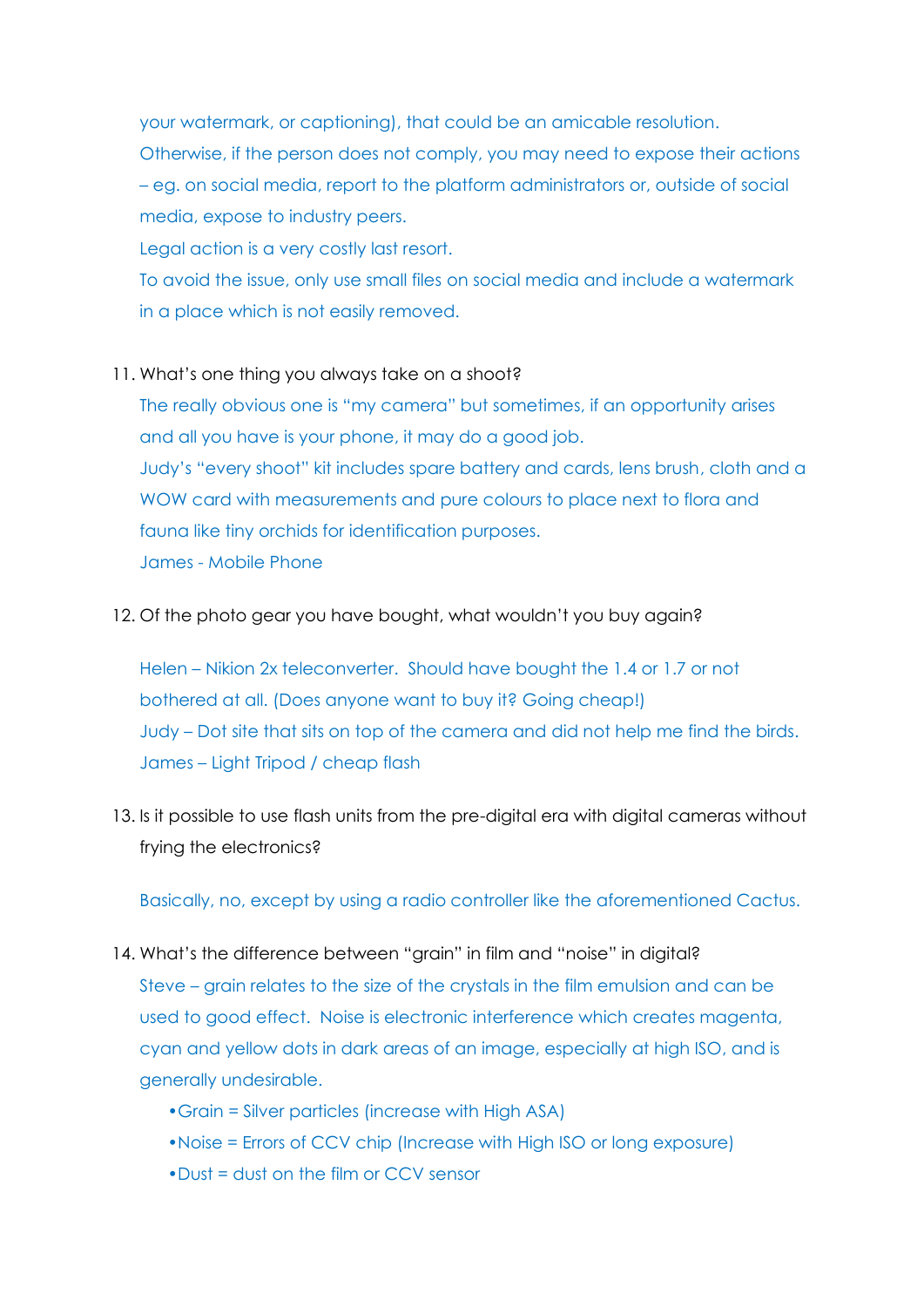your watermark, or captioning), that could be an amicable resolution. Otherwise, if the person does not comply, you may need to expose their actions – eg. on social media, report to the platform administrators or, outside of social media, expose to industry peers.

Legal action is a very costly last resort.

To avoid the issue, only use small files on social media and include a watermark in a place which is not easily removed.

11. What's one thing you always take on a shoot?

The really obvious one is "my camera" but sometimes, if an opportunity arises and all you have is your phone, it may do a good job. Judy's "every shoot" kit includes spare battery and cards, lens brush, cloth and a WOW card with measurements and pure colours to place next to flora and fauna like tiny orchids for identification purposes. James - Mobile Phone

12. Of the photo gear you have bought, what wouldn't you buy again?

Helen – Nikion 2x teleconverter. Should have bought the 1.4 or 1.7 or not bothered at all. (Does anyone want to buy it? Going cheap!) Judy – Dot site that sits on top of the camera and did not help me find the birds. James – Light Tripod / cheap flash

13. Is it possible to use flash units from the pre-digital era with digital cameras without frying the electronics?

Basically, no, except by using a radio controller like the aforementioned Cactus.

- 14. What's the difference between "grain" in film and "noise" in digital? Steve – grain relates to the size of the crystals in the film emulsion and can be used to good effect. Noise is electronic interference which creates magenta, cyan and yellow dots in dark areas of an image, especially at high ISO, and is generally undesirable.
	- •Grain = Silver particles (increase with High ASA)
	- •Noise = Errors of CCV chip (Increase with High ISO or long exposure)
	- •Dust = dust on the film or CCV sensor